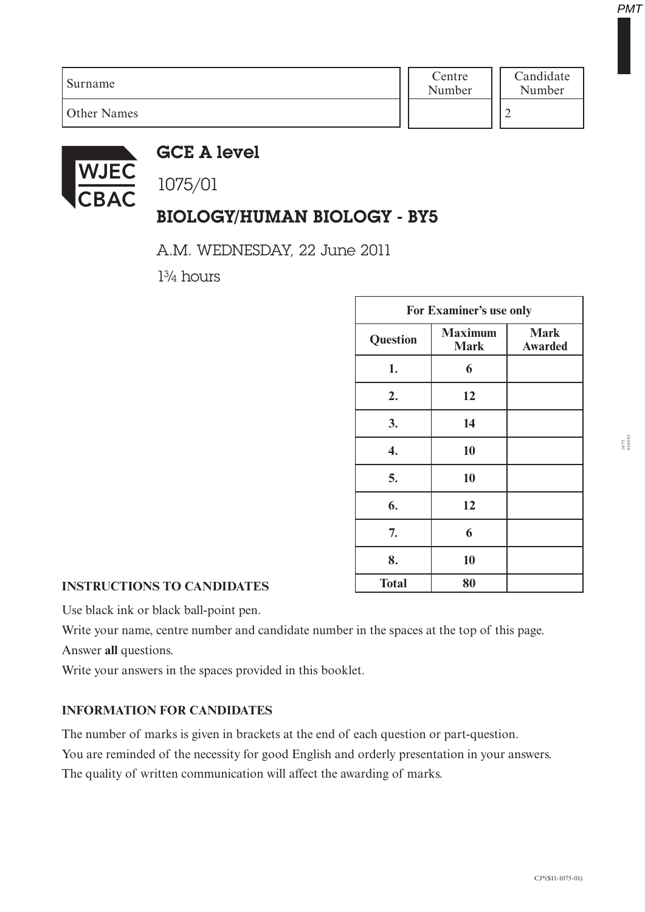Surname

Other Names



GCE A level

1075/01

# BIOLOGY/HUMAN BIOLOGY - BY5

A.M. WEDNESDAY, 22 June 2011

1¾ hours

| For Examiner's use only |                               |                               |  |
|-------------------------|-------------------------------|-------------------------------|--|
| <b>Question</b>         | <b>Maximum</b><br><b>Mark</b> | <b>Mark</b><br><b>Awarded</b> |  |
| 1.                      | 6                             |                               |  |
| 2.                      | 12                            |                               |  |
| 3.                      | 14                            |                               |  |
| 4.                      | 10                            |                               |  |
| 5.                      | 10                            |                               |  |
| 6.                      | 12                            |                               |  |
| 7.                      | 6                             |                               |  |
| 8.                      | 10                            |                               |  |
| <b>Total</b>            | 80                            |                               |  |

# **INSTRUCTIONS TO CANDIDATES**

Use black ink or black ball-point pen.

Write your name, centre number and candidate number in the spaces at the top of this page.

Answer **all** questions.

Write your answers in the spaces provided in this booklet.

# **INFORMATION FOR CANDIDATES**

The number of marks is given in brackets at the end of each question or part-question.

You are reminded of the necessity for good English and orderly presentation in your answers.

The quality of written communication will affect the awarding of marks.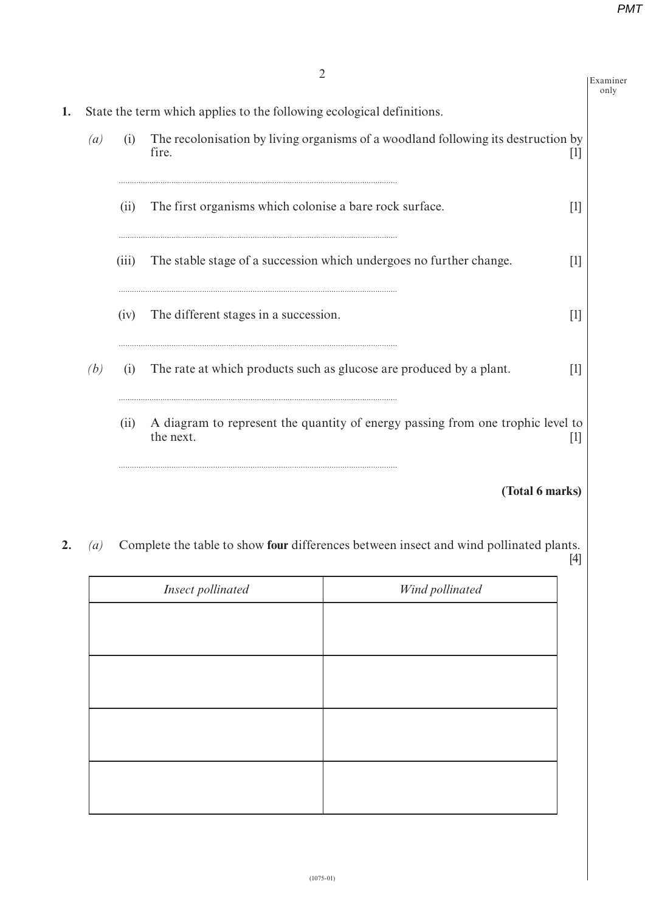|    |                  |       | 2                                                                                                     | Examiner<br>only |
|----|------------------|-------|-------------------------------------------------------------------------------------------------------|------------------|
| 1. |                  |       | State the term which applies to the following ecological definitions.                                 |                  |
|    | $\left(a\right)$ | (i)   | The recolonisation by living organisms of a woodland following its destruction by<br>fire.<br>$[1]$   |                  |
|    |                  | (ii)  | The first organisms which colonise a bare rock surface.<br>$[1]$                                      |                  |
|    |                  | (iii) | The stable stage of a succession which undergoes no further change.<br>$[1]$                          |                  |
|    |                  | (iv)  | The different stages in a succession.<br>$[1]$                                                        |                  |
|    | (b)              | (i)   | The rate at which products such as glucose are produced by a plant.<br>$[1]$                          |                  |
|    |                  | (i)   | A diagram to represent the quantity of energy passing from one trophic level to<br>the next.<br>$[1]$ |                  |
|    |                  |       | (Total 6 marks)                                                                                       |                  |

**2.** *(a)* Complete the table to show **four** differences between insect and wind pollinated plants. [4]

| Insect pollinated | Wind pollinated |
|-------------------|-----------------|
|                   |                 |
|                   |                 |
|                   |                 |
|                   |                 |
|                   |                 |
|                   |                 |
|                   |                 |
|                   |                 |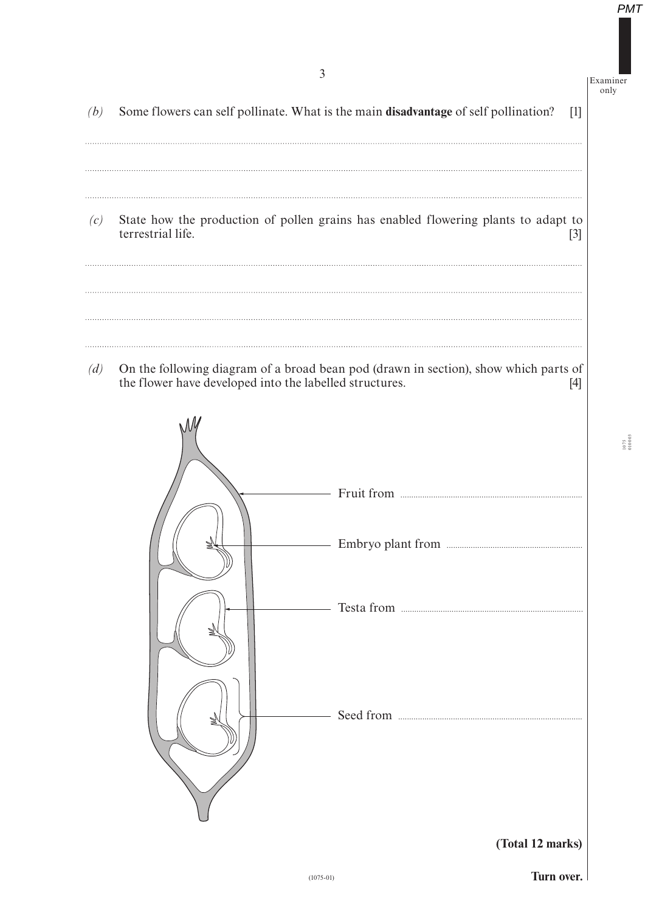3 Examiner *(b)* Some flowers can self pollinate. What is the main **disadvantage** of self pollination? [1] *(c)* State how the production of pollen grains has enabled flowering plants to adapt to terrestrial life. [3] *(d)* On the following diagram of a broad bean pod (drawn in section), show which parts of the flower have developed into the labelled structures. [4] h Av Fruit from **...................................................................................** Embryo plant from **..............................................................** Testa from **...................................................................................** Seed from **....................................................................................**

**(Total 12 marks)**

1075 010003

only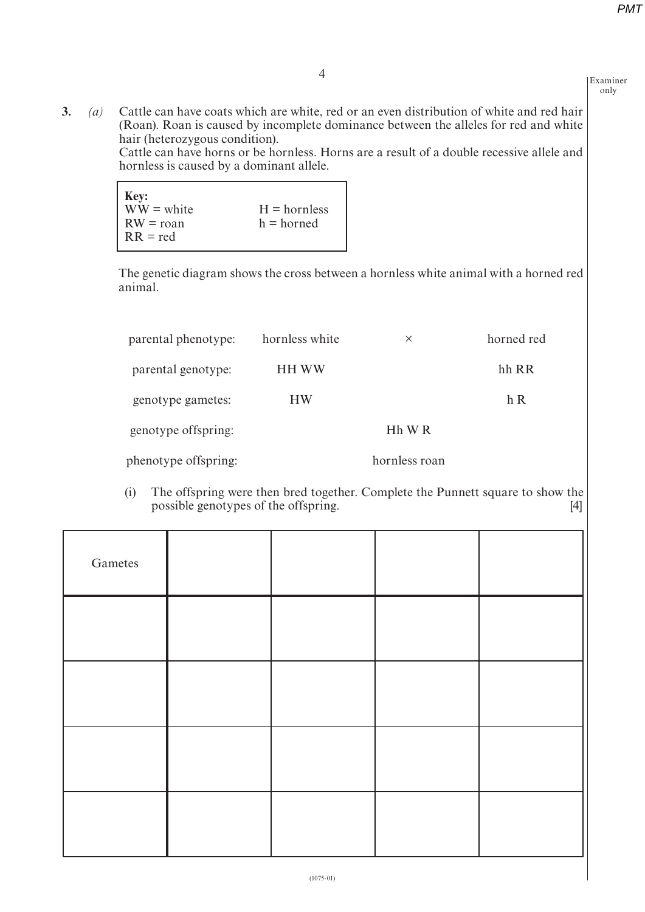only

**3.** *(a)* Cattle can have coats which are white, red or an even distribution of white and red hair (Roan). Roan is caused by incomplete dominance between the alleles for red and white hair (heterozygous condition).

 Cattle can have horns or be hornless. Horns are a result of a double recessive allele and hornless is caused by a dominant allele.

The genetic diagram shows the cross between a hornless white animal with a horned red animal.

| parental phenotype:  | hornless white | $\times$      | horned red |
|----------------------|----------------|---------------|------------|
| parental genotype:   | <b>HH WW</b>   |               | hh RR      |
| genotype gametes:    | <b>HW</b>      |               | h R        |
| genotype offspring:  |                | Hh W R        |            |
| phenotype offspring: |                | hornless roan |            |

(i) The offspring were then bred together. Complete the Punnett square to show the possible genotypes of the offspring.

| Gametes |  |  |
|---------|--|--|
|         |  |  |
|         |  |  |
|         |  |  |
|         |  |  |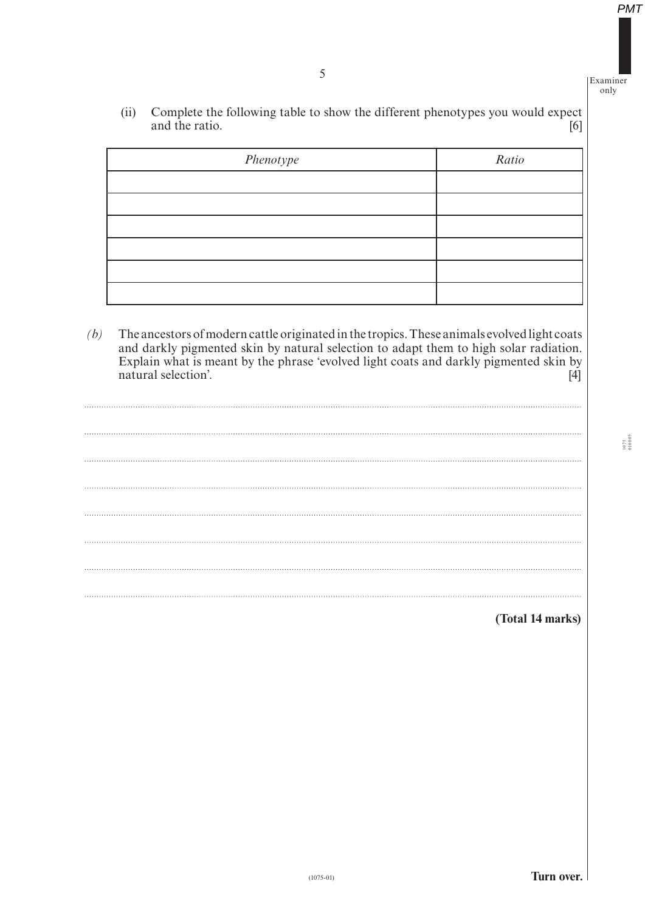only

(ii) Complete the following table to show the different phenotypes you would expect and the ratio. [6] and the ratio.

| Phenotype | Ratio |
|-----------|-------|
|           |       |
|           |       |
|           |       |
|           |       |
|           |       |
|           |       |

*(b)* The ancestors of modern cattle originated in the tropics. These animals evolved light coats and darkly pigmented skin by natural selection to adapt them to high solar radiation. Explain what is meant by the phrase 'evolved light coats and darkly pigmented skin by natural selection'.



**(Total 14 marks)**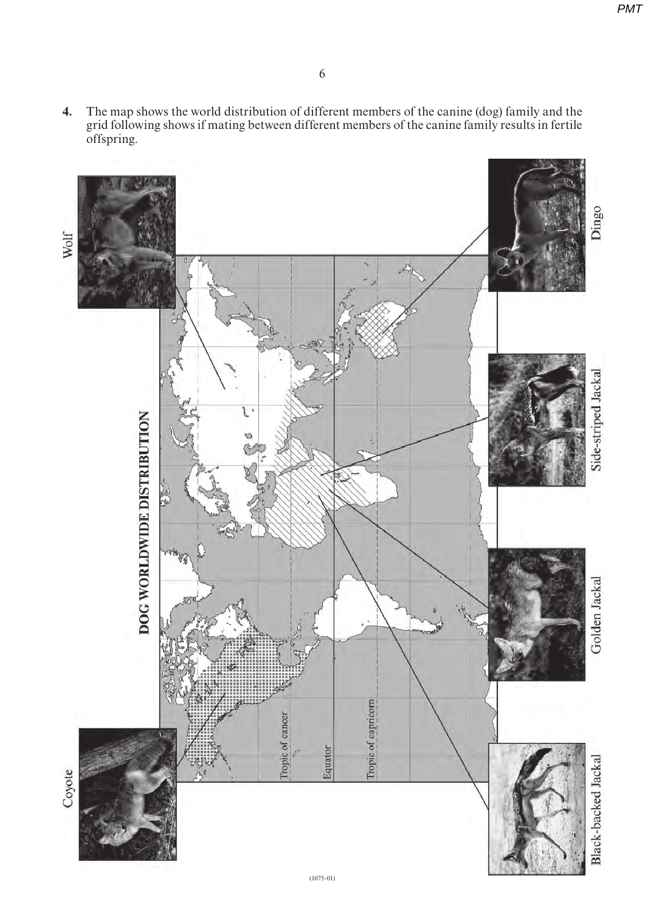**4.** The map shows the world distribution of different members of the canine (dog) family and the grid following shows if mating between different members of the canine family results in fertile offspring.

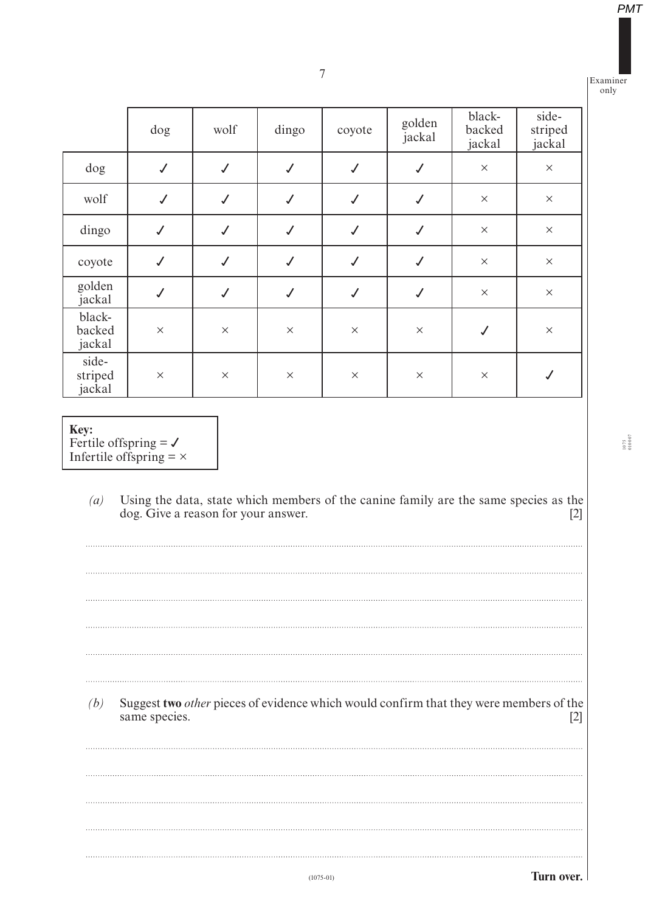only

|                            | dog          | wolf                     | dingo        | coyote       | golden<br>jackal | black-<br>backed<br>jackal | side-<br>striped<br>jackal |  |
|----------------------------|--------------|--------------------------|--------------|--------------|------------------|----------------------------|----------------------------|--|
| dog                        | $\checkmark$ | $\checkmark$             | $\checkmark$ | $\checkmark$ | $\checkmark$     | $\times$                   | $\times$                   |  |
| wolf                       | $\checkmark$ | $\checkmark$             | $\checkmark$ | $\checkmark$ | $\checkmark$     | $\times$                   | $\times$                   |  |
| dingo                      | $\checkmark$ | $\checkmark$             | $\checkmark$ | $\checkmark$ | $\checkmark$     | $\times$                   | $\times$                   |  |
| coyote                     | $\checkmark$ | $\checkmark$             | $\checkmark$ | $\checkmark$ | $\checkmark$     | $\times$                   | $\times$                   |  |
| golden<br>jackal           | $\checkmark$ | $\overline{\mathcal{J}}$ | $\checkmark$ | $\checkmark$ | $\checkmark$     | $\times$                   | $\times$                   |  |
| black-<br>backed<br>jackal | $\times$     | $\times$                 | $\times$     | $\times$     | $\times$         | $\checkmark$               | $\times$                   |  |
| side-<br>striped<br>jackal | $\times$     | $\times$                 | $\times$     | $\times$     | $\times$         | $\times$                   |                            |  |

**Key:** Fertile offspring  $=$  √ Infertile offspring  $=$   $\times$ 

> *(a)* Using the data, state which members of the canine family are the same species as the dog. Give a reason for your answer. [2]

*(b)* Suggest **two** *other* pieces of evidence which would confirm that they were members of the same species. [2]

1075 010007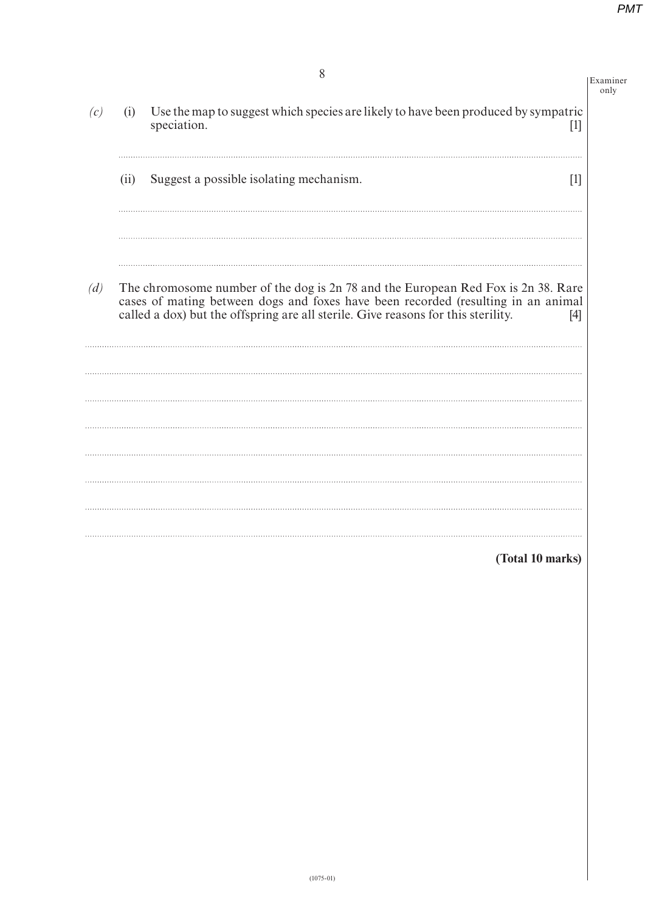|     |      | 8                                                                                                                                                                                                                                                                  | Examiner<br>only |
|-----|------|--------------------------------------------------------------------------------------------------------------------------------------------------------------------------------------------------------------------------------------------------------------------|------------------|
| (c) | (i)  | Use the map to suggest which species are likely to have been produced by sympatric<br>speciation.<br>Ш                                                                                                                                                             |                  |
|     | (ii) | Suggest a possible isolating mechanism.<br>$[1]$                                                                                                                                                                                                                   |                  |
|     |      |                                                                                                                                                                                                                                                                    |                  |
| (d) |      | The chromosome number of the dog is 2n 78 and the European Red Fox is 2n 38. Rare<br>cases of mating between dogs and foxes have been recorded (resulting in an animal<br>called a dox) but the offspring are all sterile. Give reasons for this sterility.<br>[4] |                  |
|     |      |                                                                                                                                                                                                                                                                    |                  |
|     |      |                                                                                                                                                                                                                                                                    |                  |
|     |      |                                                                                                                                                                                                                                                                    |                  |
|     |      |                                                                                                                                                                                                                                                                    |                  |

#### **(Total 10 marks)**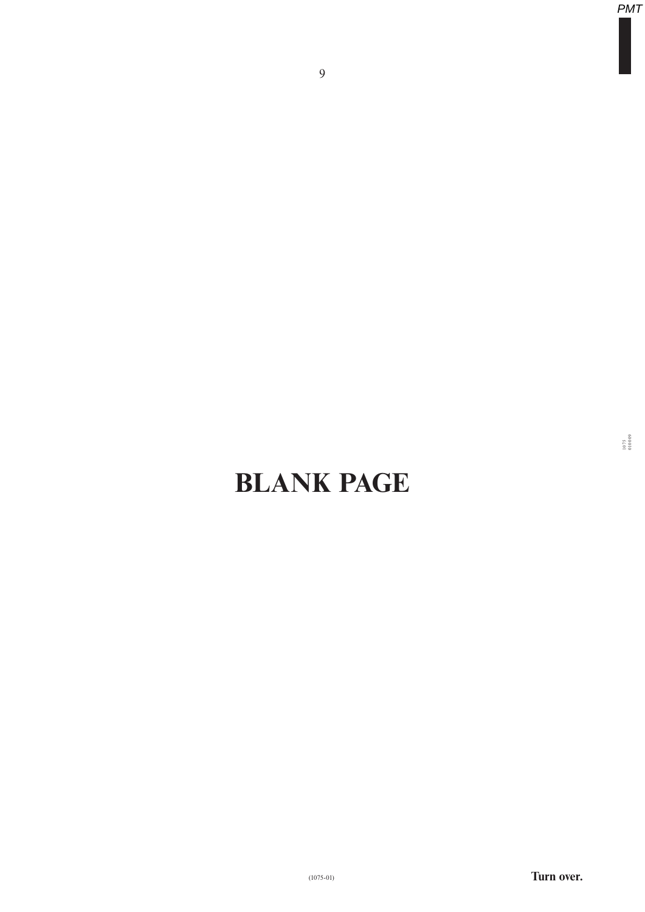

1075 010009

# **BLANK PAGE**

9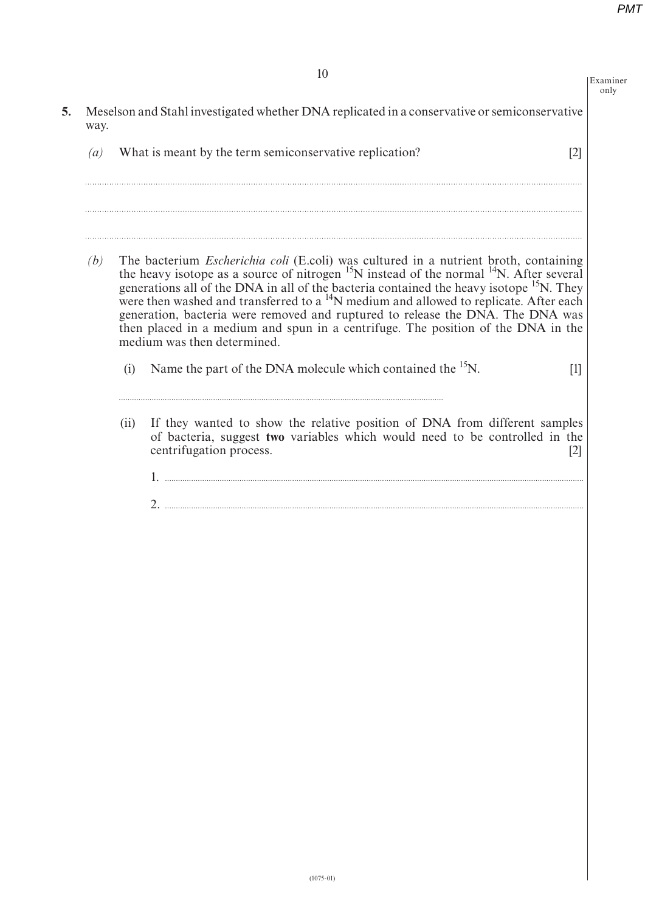only

**5.** Meselson and Stahl investigated whether DNA replicated in a conservative or semiconservative way.

| $\left( a\right)$ | What is meant by the term semiconservative replication? |  |
|-------------------|---------------------------------------------------------|--|
|                   |                                                         |  |
|                   |                                                         |  |

- *(b)* The bacterium *Escherichia coli* (E.coli) was cultured in a nutrient broth, containing the heavy isotope as a source of nitrogen  ${}^{15}N$  instead of the normal  ${}^{14}N$ . After several generations all of the DNA in all of the bacteria contained the heavy isotope  ${}^{15}N$ . They were then washed and transferred to a  $\mathrm{^{14}N}$  medium and allowed to replicate. After each generation, bacteria were removed and ruptured to release the DNA. The DNA was then placed in a medium and spun in a centrifuge. The position of the DNA in the medium was then determined.
	- (i) Name the part of the DNA molecule which contained the  $15N$ . [1]

 **....................................................................................................................................................**

- 
- (ii) If they wanted to show the relative position of DNA from different samples of bacteria, suggest **two** variables which would need to be controlled in the centrifugation process. [2]
	- 1. **...............................................................................................................................................................................................**
	- 2. **...............................................................................................................................................................................................**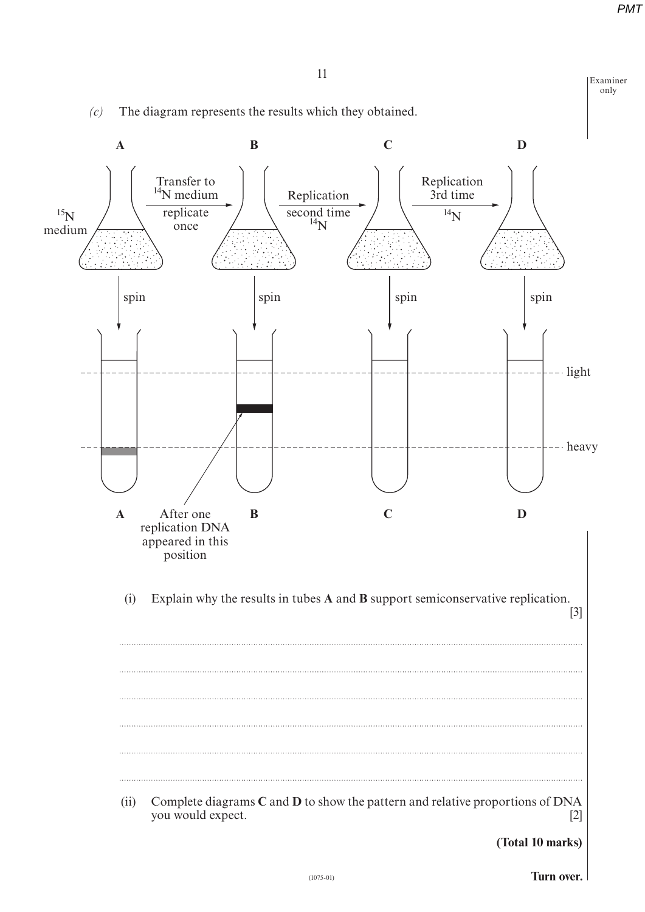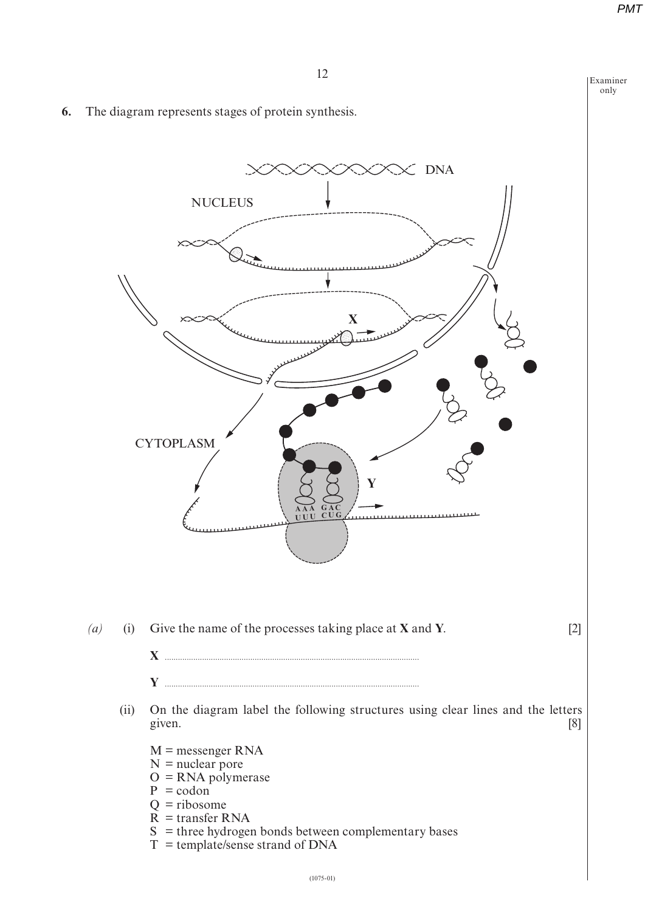- 12 Examiner only **6.** The diagram represents stages of protein synthesis. **<sup>l</sup> <sup>l</sup> <sup>l</sup> <sup>l</sup> <sup>l</sup> <sup>l</sup> <sup>l</sup> <sup>l</sup> <sup>l</sup> <sup>l</sup> <sup>l</sup> <sup>l</sup> <sup>l</sup> <sup>l</sup> <sup>l</sup> <sup>l</sup> <sup>l</sup> <sup>l</sup> <sup>l</sup> <sup>l</sup> <sup>l</sup> <sup>l</sup> <sup>l</sup> <sup>l</sup> <sup>l</sup> <sup>l</sup> <sup>l</sup> <sup>l</sup> <sup>l</sup> <sup>l</sup> <sup>l</sup> <sup>l</sup> <sup>l</sup> <sup>l</sup> <sup>l</sup> <sup>l</sup> <sup>l</sup> <sup>l</sup> <sup>l</sup> <sup>l</sup> <sup>l</sup> <sup>l</sup> <sup>l</sup> <sup>l</sup> <sup>l</sup> <sup>l</sup> <sup>l</sup> <sup>l</sup> <sup>l</sup> <sup>l</sup> <sup>l</sup> <sup>l</sup> <sup>l</sup> <sup>l</sup> <sup>l</sup> <sup>l</sup> l** in a survey with the survey of the survey of the survey of the survey of the survey of the survey of the survey of the survey of the survey of the survey of the survey of the survey of the survey of the survey of the surve **l l l l l l l l** <u>in muunnummuutti j</u> مسسس **X Y A A A G A C U U U <sup>C</sup> <sup>U</sup> <sup>G</sup> l <sup>l</sup> <sup>l</sup> <sup>l</sup> <sup>l</sup> <sup>l</sup> <sup>l</sup> <sup>l</sup> <sup>l</sup> <sup>l</sup> <sup>l</sup> <sup>l</sup> <sup>l</sup> <sup>l</sup> <sup>l</sup> <sup>l</sup> <sup>l</sup> <sup>l</sup> <sup>l</sup> <sup>l</sup> <sup>l</sup> <sup>l</sup> <sup>l</sup> <sup>l</sup> <sup>l</sup> <sup>l</sup>** DNA **NUCLEUS CYTOPLASM** *(a)* (i) Give the name of the processes taking place at **X** and **Y**. [2] **X .................................................................................................................... Y ....................................................................................................................** (ii) On the diagram label the following structures using clear lines and the letters given. [8]  $M$  = messenger RNA  $N$  = nuclear pore  $O = RNA$  polymerase  $P = codon$  $Q = ribosome$  $R =$ transfer RNA  $S =$  three hydrogen bonds between complementary bases
	- $T =$  template/sense strand of DNA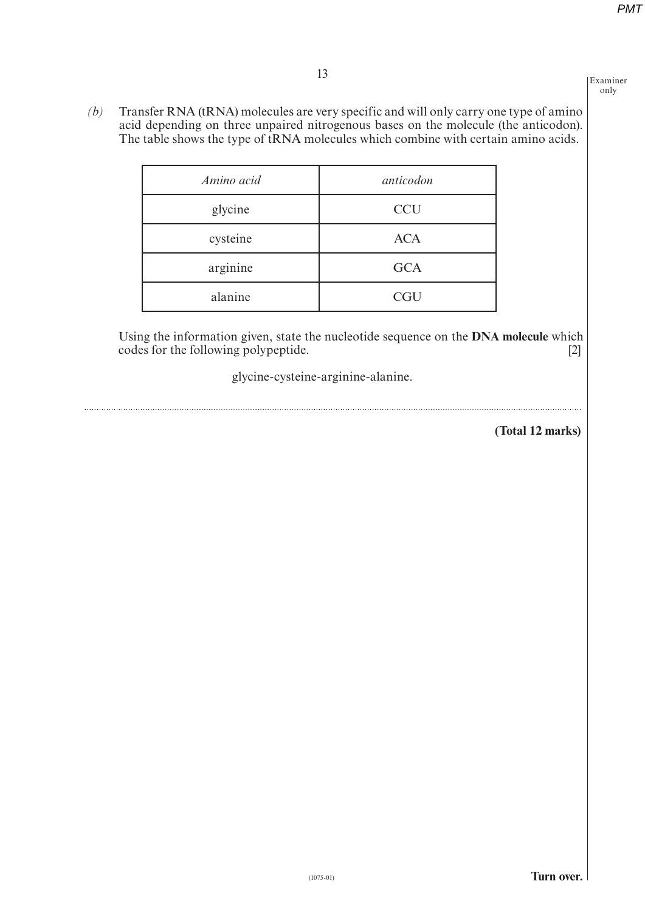only

*(b)* Transfer RNA (tRNA) molecules are very specific and will only carry one type of amino acid depending on three unpaired nitrogenous bases on the molecule (the anticodon). The table shows the type of tRNA molecules which combine with certain amino acids.

| Amino acid | anticodon  |
|------------|------------|
| glycine    | <b>CCU</b> |
| cysteine   | <b>ACA</b> |
| arginine   | <b>GCA</b> |
| alanine    | <b>CGU</b> |

Using the information given, state the nucleotide sequence on the **DNA molecule** which codes for the following polypeptide. [2]  $\overline{\text{code}}$  for the following polypeptide.

# glycine-cysteine-arginine-alanine.

**(Total 12 marks)**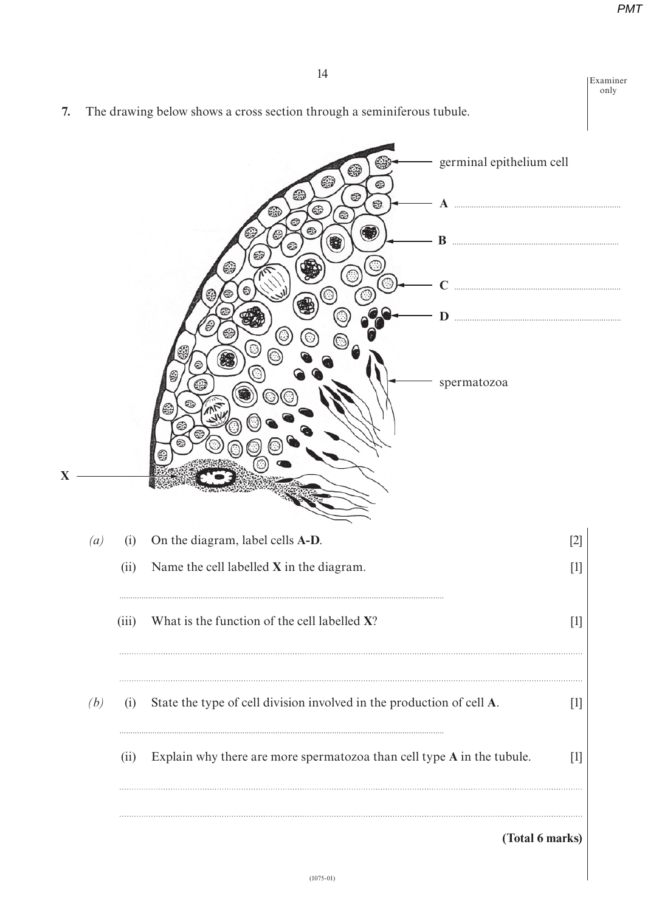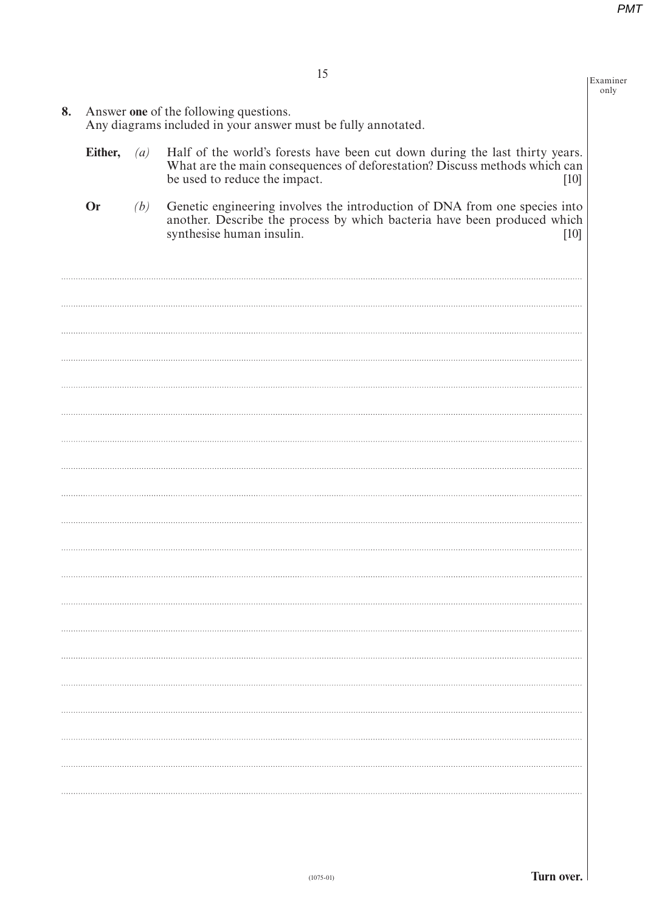|                                              |                                                               |     | 15                                                                                                                                                                                                  | Examiner |  |  |
|----------------------------------------------|---------------------------------------------------------------|-----|-----------------------------------------------------------------------------------------------------------------------------------------------------------------------------------------------------|----------|--|--|
| Answer one of the following questions.<br>8. |                                                               |     |                                                                                                                                                                                                     | only     |  |  |
|                                              | Any diagrams included in your answer must be fully annotated. |     |                                                                                                                                                                                                     |          |  |  |
|                                              | Either,                                                       | (a) | Half of the world's forests have been cut down during the last thirty years.<br>What are the main consequences of deforestation? Discuss methods which can<br>be used to reduce the impact.<br>[10] |          |  |  |
|                                              | <b>Or</b>                                                     | (b) | Genetic engineering involves the introduction of DNA from one species into<br>another. Describe the process by which bacteria have been produced which<br>synthesise human insulin.<br>[10]         |          |  |  |
|                                              |                                                               |     |                                                                                                                                                                                                     |          |  |  |
|                                              |                                                               |     |                                                                                                                                                                                                     |          |  |  |
|                                              |                                                               |     |                                                                                                                                                                                                     |          |  |  |
|                                              |                                                               |     |                                                                                                                                                                                                     |          |  |  |
|                                              |                                                               |     |                                                                                                                                                                                                     |          |  |  |
|                                              |                                                               |     |                                                                                                                                                                                                     |          |  |  |
|                                              |                                                               |     |                                                                                                                                                                                                     |          |  |  |
|                                              |                                                               |     |                                                                                                                                                                                                     |          |  |  |
|                                              |                                                               |     |                                                                                                                                                                                                     |          |  |  |
|                                              |                                                               |     |                                                                                                                                                                                                     |          |  |  |
|                                              |                                                               |     |                                                                                                                                                                                                     |          |  |  |
|                                              |                                                               |     |                                                                                                                                                                                                     |          |  |  |
|                                              |                                                               |     |                                                                                                                                                                                                     |          |  |  |
|                                              |                                                               |     |                                                                                                                                                                                                     |          |  |  |
|                                              |                                                               |     |                                                                                                                                                                                                     |          |  |  |
|                                              |                                                               |     |                                                                                                                                                                                                     |          |  |  |
|                                              |                                                               |     |                                                                                                                                                                                                     |          |  |  |
|                                              |                                                               |     |                                                                                                                                                                                                     |          |  |  |
|                                              |                                                               |     |                                                                                                                                                                                                     |          |  |  |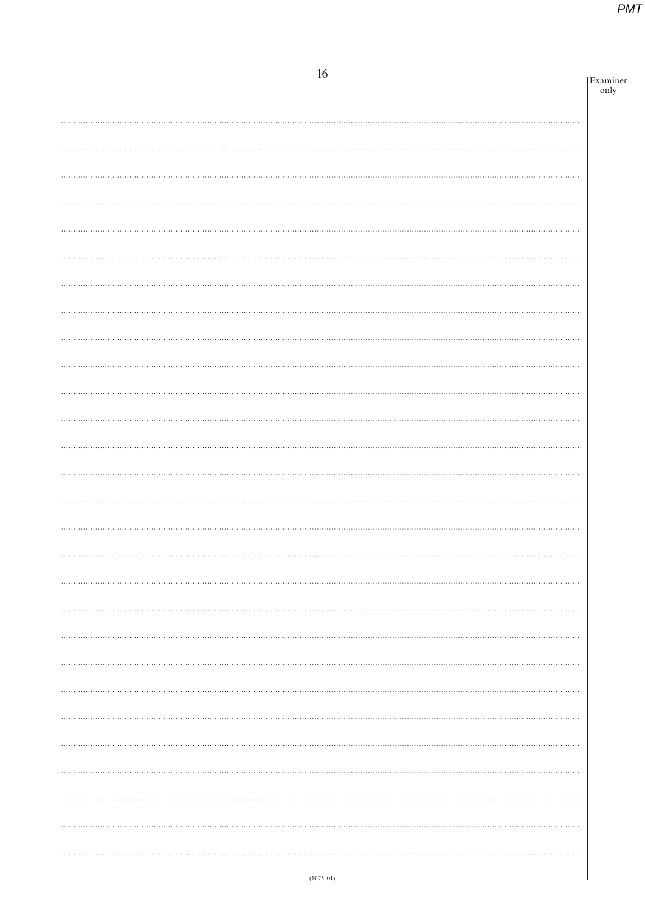| 16 | Examiner |
|----|----------|
|    | only     |
|    |          |
|    |          |
|    |          |
|    |          |
|    |          |
|    |          |
|    |          |
|    |          |
|    |          |
|    |          |
|    |          |
|    |          |
|    |          |
|    |          |
|    |          |
|    |          |
|    |          |
|    |          |
|    |          |
|    |          |
|    |          |
|    |          |
|    |          |
|    |          |
|    |          |
|    |          |
|    |          |
|    |          |
|    |          |
|    |          |
|    |          |
|    |          |
|    |          |